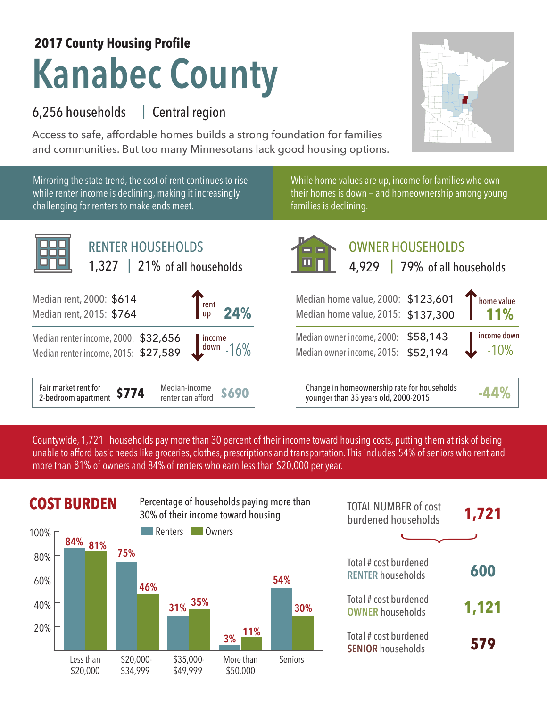## **Kanabec County 2017 County Housing Profile**

## 6,256 households Central region |

Access to safe, affordable homes builds a strong foundation for families and communities. But too many Minnesotans lack good housing options.



Countywide, 1,721 households pay more than 30 percent of their income toward housing costs, putting them at risk of being unable to afford basic needs like groceries, clothes, prescriptions and transportation. This includes 54% of seniors who rent and more than 81% of owners and 84% of renters who earn less than \$20,000 per year.



| <b>TOTAL NUMBER of cost</b><br>burdened households | 1,721 |
|----------------------------------------------------|-------|
|                                                    |       |
| Total # cost burdened<br><b>RENTER households</b>  | 600   |
| Total # cost burdened<br><b>OWNER households</b>   | 1,121 |
| Total # cost burdened<br><b>SENIOR households</b>  | 579   |